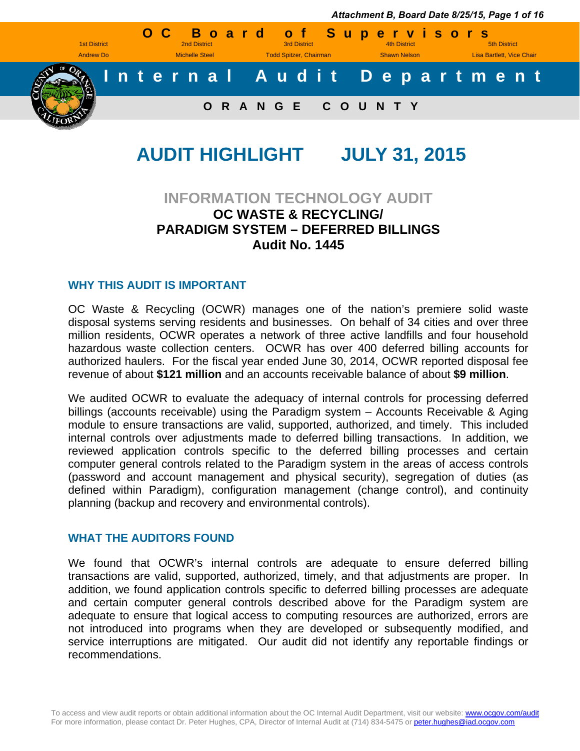

# **AUDIT HIGHLIGHT JULY 31, 2015**

### **INFORMATION TECHNOLOGY AUDIT OC WASTE & RECYCLING/ PARADIGM SYSTEM – DEFERRED BILLINGS Audit No. 1445**

#### **WHY THIS AUDIT IS IMPORTANT**

OC Waste & Recycling (OCWR) manages one of the nation's premiere solid waste disposal systems serving residents and businesses. On behalf of 34 cities and over three million residents, OCWR operates a network of three active landfills and four household hazardous waste collection centers. OCWR has over 400 deferred billing accounts for authorized haulers. For the fiscal year ended June 30, 2014, OCWR reported disposal fee revenue of about **\$121 million** and an accounts receivable balance of about **\$9 million**.

We audited OCWR to evaluate the adequacy of internal controls for processing deferred billings (accounts receivable) using the Paradigm system – Accounts Receivable & Aging module to ensure transactions are valid, supported, authorized, and timely. This included internal controls over adjustments made to deferred billing transactions. In addition, we reviewed application controls specific to the deferred billing processes and certain computer general controls related to the Paradigm system in the areas of access controls (password and account management and physical security), segregation of duties (as defined within Paradigm), configuration management (change control), and continuity planning (backup and recovery and environmental controls).

### **WHAT THE AUDITORS FOUND**

We found that OCWR's internal controls are adequate to ensure deferred billing transactions are valid, supported, authorized, timely, and that adjustments are proper. In addition, we found application controls specific to deferred billing processes are adequate and certain computer general controls described above for the Paradigm system are adequate to ensure that logical access to computing resources are authorized, errors are not introduced into programs when they are developed or subsequently modified, and service interruptions are mitigated. Our audit did not identify any reportable findings or recommendations.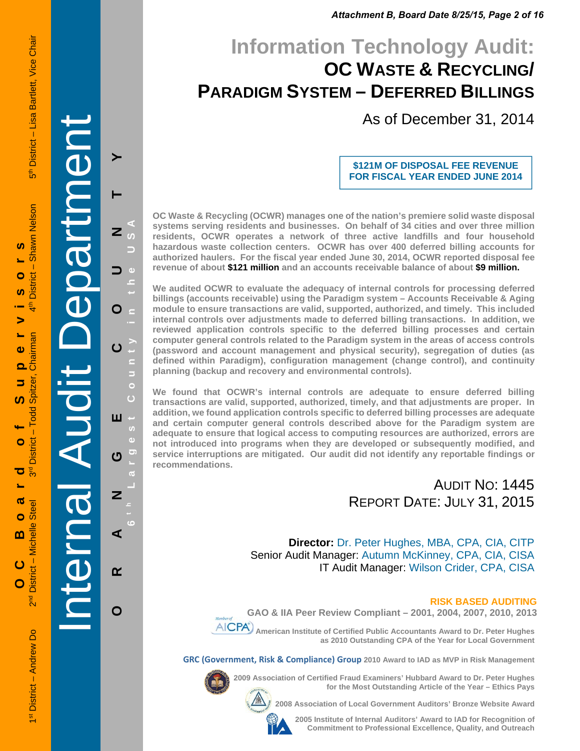*Attachment B, Board Date 8/25/15, Page 2 of 16*

# **Information Technology Audit: OC WASTE & RECYCLING/ PARADIGM SYSTEM – DEFERRED BILLINGS**

As of December 31, 2014

#### **\$121M OF DISPOSAL FEE REVENUE FOR FISCAL YEAR ENDED JUNE 2014**

**OC Waste & Recycling (OCWR) manages one of the nation's premiere solid waste disposal systems serving residents and businesses. On behalf of 34 cities and over three million residents, OCWR operates a network of three active landfills and four household hazardous waste collection centers. OCWR has over 400 deferred billing accounts for authorized haulers. For the fiscal year ended June 30, 2014, OCWR reported disposal fee revenue of about \$121 million and an accounts receivable balance of about \$9 million.** 

**We audited OCWR to evaluate the adequacy of internal controls for processing deferred billings (accounts receivable) using the Paradigm system – Accounts Receivable & Aging module to ensure transactions are valid, supported, authorized, and timely. This included internal controls over adjustments made to deferred billing transactions. In addition, we reviewed application controls specific to the deferred billing processes and certain computer general controls related to the Paradigm system in the areas of access controls (password and account management and physical security), segregation of duties (as defined within Paradigm), configuration management (change control), and continuity planning (backup and recovery and environmental controls).** 

**We found that OCWR's internal controls are adequate to ensure deferred billing transactions are valid, supported, authorized, timely, and that adjustments are proper. In addition, we found application controls specific to deferred billing processes are adequate and certain computer general controls described above for the Paradigm system are adequate to ensure that logical access to computing resources are authorized, errors are not introduced into programs when they are developed or subsequently modified, and service interruptions are mitigated. Our audit did not identify any reportable findings or recommendations.** 

### AUDIT NO: 1445 REPORT DATE: JULY 31, 2015

 **Director:** Dr. Peter Hughes, MBA, CPA, CIA, CITP Senior Audit Manager: Autumn McKinney, CPA, CIA, CISA IT Audit Manager: Wilson Crider, CPA, CISA

#### **RISK BASED AUDITING**

**GAO & IIA Peer Review Compliant – 2001, 2004, 2007, 2010, 2013** 



 **American Institute of Certified Public Accountants Award to Dr. Peter Hughes as 2010 Outstanding CPA of the Year for Local Government** 

**GRC (Government, Risk & Compliance) Group 2010 Award to IAD as MVP in Risk Management** 



**2009 Association of Certified Fraud Examiners' Hubbard Award to Dr. Peter Hughes for the Most Outstanding Article of the Year – Ethics Pays** 

**2008 Association of Local Government Auditors' Bronze Website Award** 

**2005 Institute of Internal Auditors' Award to IAD for Recognition of Commitment to Professional Excellence, Quality, and Outreach**

 1st District – Andrew Do 2nd District – Michelle Steel 3rd District – Todd Spitzer, Chairman 4th District – Shawn Nelson 5th District – Lisa Bartlett, Vice Chair Shawn Nelson S **OC Boar d of Supervisors**  $\overline{\phantom{a}}$ Ó District S > L, Chairman  $\bullet$  $\overline{\mathbf{o}}$ Spitzer,  $\Rightarrow$ <u>ທ</u>  $-$  Todd  $\bullet$ District ರ  $\sim$  $\boldsymbol{\sigma}$ Steel  $\bullet$ District - Michelle m  $\overline{c}$ 

Internal Audit Department

**ORANGE COUNTY 6 t h Lar**

Ш 'n  $\ddot{\mathbf{c}}$ 

 $\boldsymbol{\sigma}$ 

 $\overline{z}$ 

⋖

 $\alpha$ 

O

**g**

**est Count**

Б

 $\bullet$  $\overline{C}$ 

**y in the USA**

z

 $\mathbf O$ 

 $\mathbf C$ 

อี<br>ด

 $\overline{O}$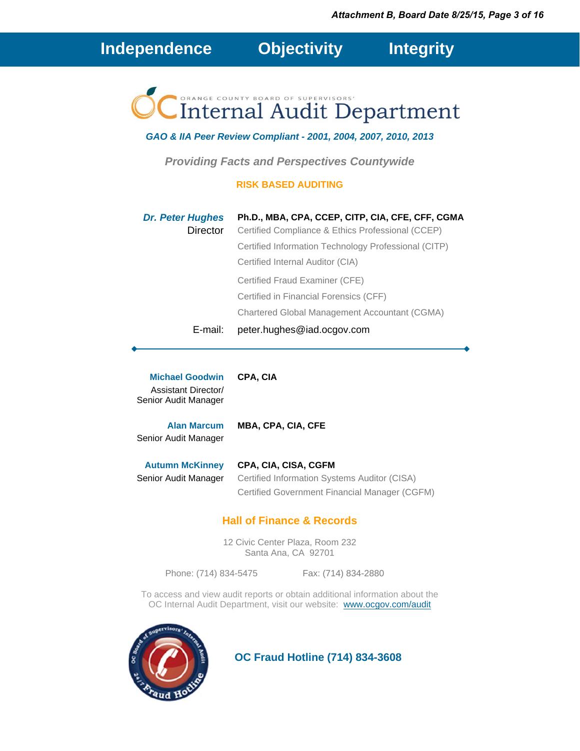**Independence****Objectivity****Integrity**

# **Internal Audit Department**

### *GAO & IIA Peer Review Compliant - 2001, 2004, 2007, 2010, 2013*

*Providing Facts and Perspectives Countywide* 

#### **RISK BASED AUDITING**

| <b>Dr. Peter Hughes</b><br>Director | Ph.D., MBA, CPA, CCEP, CITP, CIA, CFE, CFF, CGMA<br>Certified Compliance & Ethics Professional (CCEP) |
|-------------------------------------|-------------------------------------------------------------------------------------------------------|
|                                     | Certified Information Technology Professional (CITP)                                                  |
|                                     | Certified Internal Auditor (CIA)                                                                      |
|                                     | Certified Fraud Examiner (CFE)                                                                        |
|                                     | Certified in Financial Forensics (CFF)                                                                |
|                                     | Chartered Global Management Accountant (CGMA)                                                         |
| E-mail:                             | peter.hughes@iad.ocgov.com                                                                            |

**Michael Goodwin CPA, CIA** Assistant Director/ Senior Audit Manager

**Alan Marcum MBA, CPA, CIA, CFE** Senior Audit Manager

**Autumn McKinney CPA, CIA, CISA, CGFM** Senior Audit Manager Certified Information Systems Auditor (CISA) Certified Government Financial Manager (CGFM)

### **Hall of Finance & Records**

12 Civic Center Plaza, Room 232 Santa Ana, CA 92701

Phone: (714) 834-5475 Fax: (714) 834-2880

To access and view audit reports or obtain additional information about the OC Internal Audit Department, visit our website: www.ocgov.com/audit



 **OC Fraud Hotline (714) 834-3608**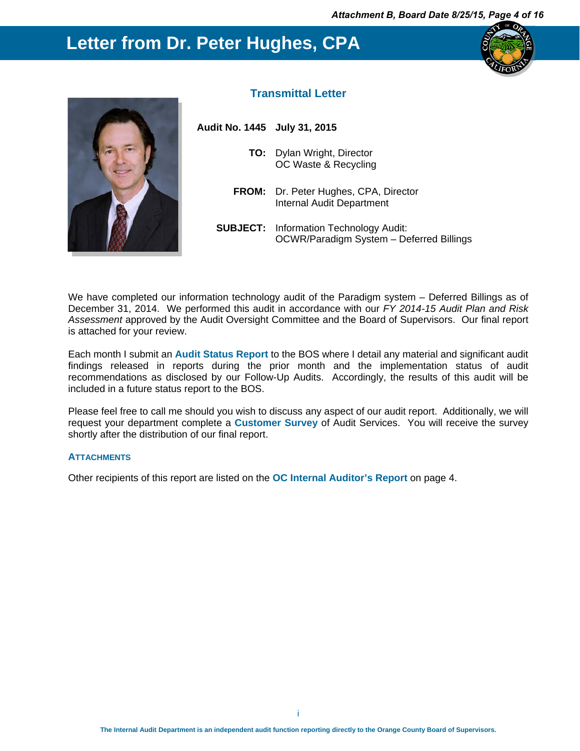### **Letter from Dr. Peter Hughes, CPA**





#### **Transmittal Letter**

| Audit No. 1445 July 31, 2015 |                                                                                           |
|------------------------------|-------------------------------------------------------------------------------------------|
|                              | <b>TO:</b> Dylan Wright, Director<br>OC Waste & Recycling                                 |
|                              | <b>FROM:</b> Dr. Peter Hughes, CPA, Director<br>Internal Audit Department                 |
|                              | <b>SUBJECT:</b> Information Technology Audit:<br>OCWR/Paradigm System - Deferred Billings |

We have completed our information technology audit of the Paradigm system - Deferred Billings as of December 31, 2014. We performed this audit in accordance with our *FY 2014-15 Audit Plan and Risk Assessment* approved by the Audit Oversight Committee and the Board of Supervisors. Our final report is attached for your review.

Each month I submit an **Audit Status Report** to the BOS where I detail any material and significant audit findings released in reports during the prior month and the implementation status of audit recommendations as disclosed by our Follow-Up Audits. Accordingly, the results of this audit will be included in a future status report to the BOS.

Please feel free to call me should you wish to discuss any aspect of our audit report. Additionally, we will request your department complete a **Customer Survey** of Audit Services. You will receive the survey shortly after the distribution of our final report.

#### **ATTACHMENTS**

Other recipients of this report are listed on the **OC Internal Auditor's Report** on page 4.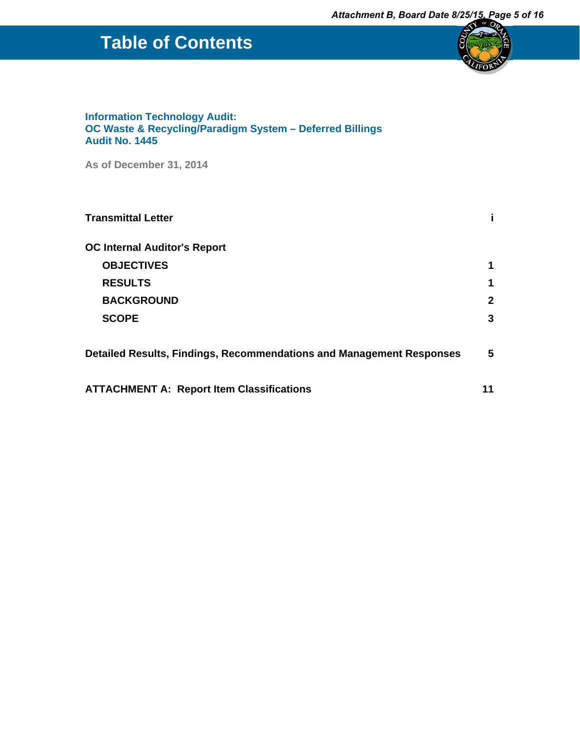# **Table of Contents**



#### **Information Technology Audit: OC Waste & Recycling/Paradigm System – Deferred Billings Audit No. 1445**

**As of December 31, 2014**

| <b>Transmittal Letter</b>                                            |              |
|----------------------------------------------------------------------|--------------|
| <b>OC Internal Auditor's Report</b>                                  |              |
| <b>OBJECTIVES</b>                                                    | 1            |
| <b>RESULTS</b>                                                       | 1            |
| <b>BACKGROUND</b>                                                    | $\mathbf{2}$ |
| <b>SCOPE</b>                                                         | 3            |
| Detailed Results, Findings, Recommendations and Management Responses | 5            |
| <b>ATTACHMENT A: Report Item Classifications</b>                     | 11           |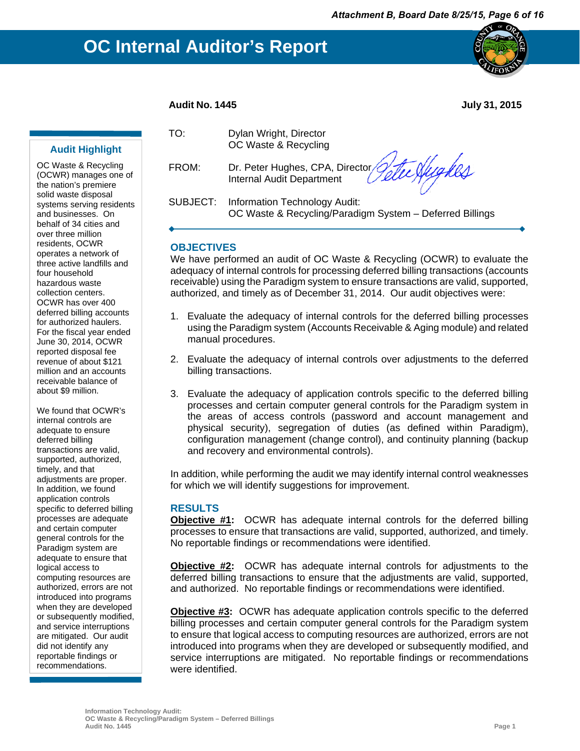

#### **Audit No. 1445 July 31, 2015**

#### **Audit Highlight**

OC Waste & Recycling (OCWR) manages one of the nation's premiere solid waste disposal systems serving residents and businesses. On behalf of 34 cities and over three million residents, OCWR operates a network of three active landfills and four household hazardous waste collection centers. OCWR has over 400 deferred billing accounts for authorized haulers. For the fiscal year ended June 30, 2014, OCWR reported disposal fee revenue of about \$121 million and an accounts receivable balance of about \$9 million.

We found that OCWR's internal controls are adequate to ensure deferred billing transactions are valid, supported, authorized, timely, and that adjustments are proper. In addition, we found application controls specific to deferred billing processes are adequate and certain computer general controls for the Paradigm system are adequate to ensure that logical access to computing resources are authorized, errors are not introduced into programs when they are developed or subsequently modified, and service interruptions are mitigated. Our audit did not identify any reportable findings or recommendations.

| TO: | Dylan Wright, Director |
|-----|------------------------|
|     | OC Waste & Recycling   |

FROM: Dr. Peter Hughes, CPA, Director Internal Audit Department

Stee Hughes

SUBJECT: Information Technology Audit: OC Waste & Recycling/Paradigm System – Deferred Billings

#### **OBJECTIVES**

We have performed an audit of OC Waste & Recycling (OCWR) to evaluate the adequacy of internal controls for processing deferred billing transactions (accounts receivable) using the Paradigm system to ensure transactions are valid, supported, authorized, and timely as of December 31, 2014. Our audit objectives were:

- 1. Evaluate the adequacy of internal controls for the deferred billing processes using the Paradigm system (Accounts Receivable & Aging module) and related manual procedures.
- 2. Evaluate the adequacy of internal controls over adjustments to the deferred billing transactions.
- 3. Evaluate the adequacy of application controls specific to the deferred billing processes and certain computer general controls for the Paradigm system in the areas of access controls (password and account management and physical security), segregation of duties (as defined within Paradigm), configuration management (change control), and continuity planning (backup and recovery and environmental controls).

In addition, while performing the audit we may identify internal control weaknesses for which we will identify suggestions for improvement.

#### **RESULTS**

**Objective #1:** OCWR has adequate internal controls for the deferred billing processes to ensure that transactions are valid, supported, authorized, and timely. No reportable findings or recommendations were identified.

**Objective #2:** OCWR has adequate internal controls for adjustments to the deferred billing transactions to ensure that the adjustments are valid, supported, and authorized. No reportable findings or recommendations were identified.

**Objective #3:** OCWR has adequate application controls specific to the deferred billing processes and certain computer general controls for the Paradigm system to ensure that logical access to computing resources are authorized, errors are not introduced into programs when they are developed or subsequently modified, and service interruptions are mitigated. No reportable findings or recommendations were identified.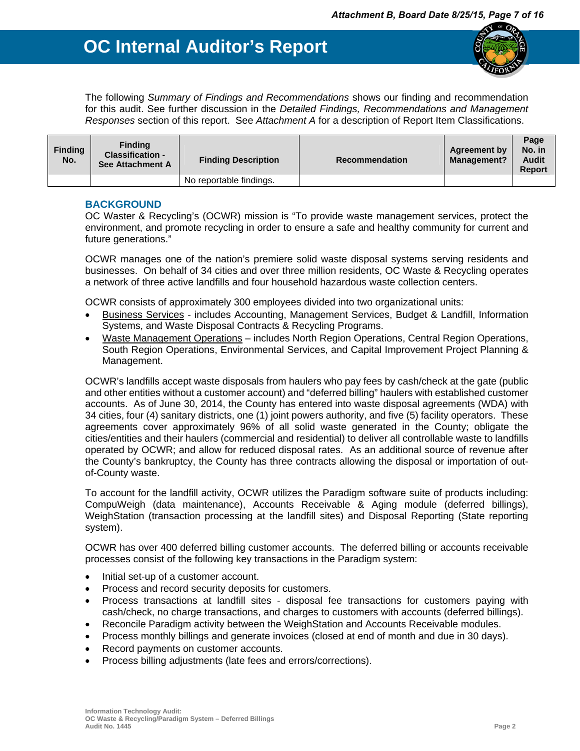

The following *Summary of Findings and Recommendations* shows our finding and recommendation for this audit. See further discussion in the *Detailed Findings, Recommendations and Management Responses* section of this report. See *Attachment A* for a description of Report Item Classifications.

| <b>Finding</b><br>No. | <b>Finding</b><br><b>Classification -</b><br>See Attachment A | <b>Finding Description</b> | <b>Recommendation</b> | <b>Agreement by</b><br><b>Management?</b> | Page<br>No. in<br><b>Audit</b><br><b>Report</b> |
|-----------------------|---------------------------------------------------------------|----------------------------|-----------------------|-------------------------------------------|-------------------------------------------------|
|                       |                                                               | No reportable findings.    |                       |                                           |                                                 |

#### **BACKGROUND**

OC Waster & Recycling's (OCWR) mission is "To provide waste management services, protect the environment, and promote recycling in order to ensure a safe and healthy community for current and future generations."

OCWR manages one of the nation's premiere solid waste disposal systems serving residents and businesses. On behalf of 34 cities and over three million residents, OC Waste & Recycling operates a network of three active landfills and four household hazardous waste collection centers.

OCWR consists of approximately 300 employees divided into two organizational units:

- Business Services includes Accounting, Management Services, Budget & Landfill, Information Systems, and Waste Disposal Contracts & Recycling Programs.
- Waste Management Operations includes North Region Operations, Central Region Operations, South Region Operations, Environmental Services, and Capital Improvement Project Planning & Management.

OCWR's landfills accept waste disposals from haulers who pay fees by cash/check at the gate (public and other entities without a customer account) and "deferred billing" haulers with established customer accounts. As of June 30, 2014, the County has entered into waste disposal agreements (WDA) with 34 cities, four (4) sanitary districts, one (1) joint powers authority, and five (5) facility operators. These agreements cover approximately 96% of all solid waste generated in the County; obligate the cities/entities and their haulers (commercial and residential) to deliver all controllable waste to landfills operated by OCWR; and allow for reduced disposal rates. As an additional source of revenue after the County's bankruptcy, the County has three contracts allowing the disposal or importation of outof-County waste.

To account for the landfill activity, OCWR utilizes the Paradigm software suite of products including: CompuWeigh (data maintenance), Accounts Receivable & Aging module (deferred billings), WeighStation (transaction processing at the landfill sites) and Disposal Reporting (State reporting system).

OCWR has over 400 deferred billing customer accounts. The deferred billing or accounts receivable processes consist of the following key transactions in the Paradigm system:

- Initial set-up of a customer account.
- Process and record security deposits for customers.
- Process transactions at landfill sites disposal fee transactions for customers paying with cash/check, no charge transactions, and charges to customers with accounts (deferred billings).
- Reconcile Paradigm activity between the WeighStation and Accounts Receivable modules.
- Process monthly billings and generate invoices (closed at end of month and due in 30 days).
- Record payments on customer accounts.
- Process billing adjustments (late fees and errors/corrections).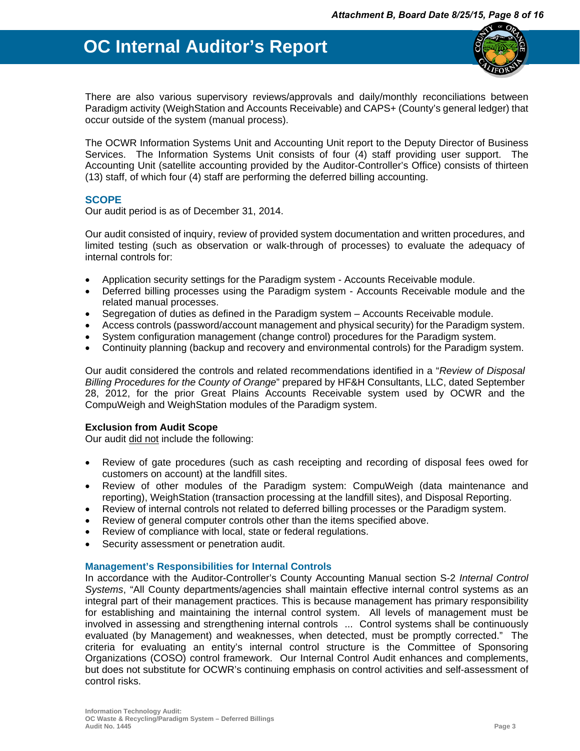

There are also various supervisory reviews/approvals and daily/monthly reconciliations between Paradigm activity (WeighStation and Accounts Receivable) and CAPS+ (County's general ledger) that occur outside of the system (manual process).

The OCWR Information Systems Unit and Accounting Unit report to the Deputy Director of Business Services. The Information Systems Unit consists of four (4) staff providing user support. The Accounting Unit (satellite accounting provided by the Auditor-Controller's Office) consists of thirteen (13) staff, of which four (4) staff are performing the deferred billing accounting.

#### **SCOPE**

Our audit period is as of December 31, 2014.

Our audit consisted of inquiry, review of provided system documentation and written procedures, and limited testing (such as observation or walk-through of processes) to evaluate the adequacy of internal controls for:

- Application security settings for the Paradigm system Accounts Receivable module.
- Deferred billing processes using the Paradigm system Accounts Receivable module and the related manual processes.
- Segregation of duties as defined in the Paradigm system Accounts Receivable module.
- Access controls (password/account management and physical security) for the Paradigm system.
- System configuration management (change control) procedures for the Paradigm system.
- Continuity planning (backup and recovery and environmental controls) for the Paradigm system.

Our audit considered the controls and related recommendations identified in a "*Review of Disposal Billing Procedures for the County of Orange*" prepared by HF&H Consultants, LLC, dated September 28, 2012, for the prior Great Plains Accounts Receivable system used by OCWR and the CompuWeigh and WeighStation modules of the Paradigm system.

#### **Exclusion from Audit Scope**

Our audit did not include the following:

- Review of gate procedures (such as cash receipting and recording of disposal fees owed for customers on account) at the landfill sites.
- Review of other modules of the Paradigm system: CompuWeigh (data maintenance and reporting), WeighStation (transaction processing at the landfill sites), and Disposal Reporting.
- Review of internal controls not related to deferred billing processes or the Paradigm system.
- Review of general computer controls other than the items specified above.
- Review of compliance with local, state or federal regulations.
- Security assessment or penetration audit.

#### **Management's Responsibilities for Internal Controls**

In accordance with the Auditor-Controller's County Accounting Manual section S-2 *Internal Control Systems*, "All County departments/agencies shall maintain effective internal control systems as an integral part of their management practices. This is because management has primary responsibility for establishing and maintaining the internal control system. All levels of management must be involved in assessing and strengthening internal controls ... Control systems shall be continuously evaluated (by Management) and weaknesses, when detected, must be promptly corrected." The criteria for evaluating an entity's internal control structure is the Committee of Sponsoring Organizations (COSO) control framework. Our Internal Control Audit enhances and complements, but does not substitute for OCWR's continuing emphasis on control activities and self-assessment of control risks.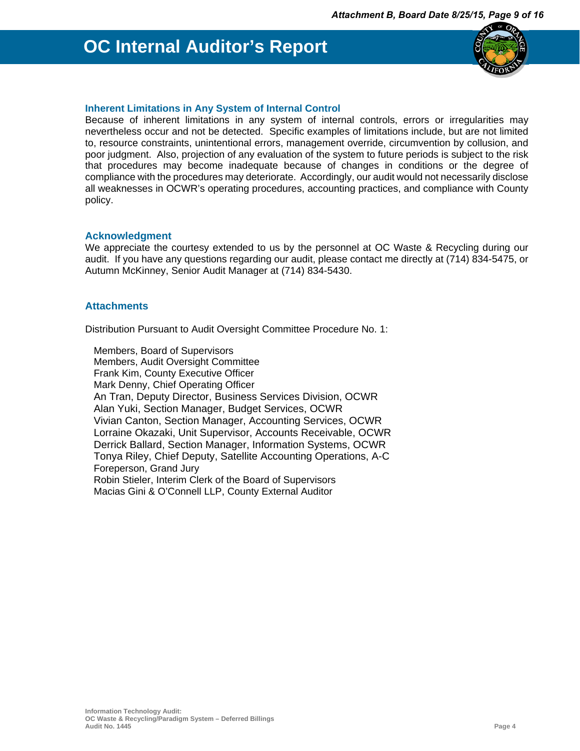

#### **Inherent Limitations in Any System of Internal Control**

Because of inherent limitations in any system of internal controls, errors or irregularities may nevertheless occur and not be detected. Specific examples of limitations include, but are not limited to, resource constraints, unintentional errors, management override, circumvention by collusion, and poor judgment. Also, projection of any evaluation of the system to future periods is subject to the risk that procedures may become inadequate because of changes in conditions or the degree of compliance with the procedures may deteriorate. Accordingly, our audit would not necessarily disclose all weaknesses in OCWR's operating procedures, accounting practices, and compliance with County policy.

#### **Acknowledgment**

We appreciate the courtesy extended to us by the personnel at OC Waste & Recycling during our audit. If you have any questions regarding our audit, please contact me directly at (714) 834-5475, or Autumn McKinney, Senior Audit Manager at (714) 834-5430.

#### **Attachments**

Distribution Pursuant to Audit Oversight Committee Procedure No. 1:

Members, Board of Supervisors Members, Audit Oversight Committee Frank Kim, County Executive Officer Mark Denny, Chief Operating Officer An Tran, Deputy Director, Business Services Division, OCWR Alan Yuki, Section Manager, Budget Services, OCWR Vivian Canton, Section Manager, Accounting Services, OCWR Lorraine Okazaki, Unit Supervisor, Accounts Receivable, OCWR Derrick Ballard, Section Manager, Information Systems, OCWR Tonya Riley, Chief Deputy, Satellite Accounting Operations, A-C Foreperson, Grand Jury Robin Stieler, Interim Clerk of the Board of Supervisors Macias Gini & O'Connell LLP, County External Auditor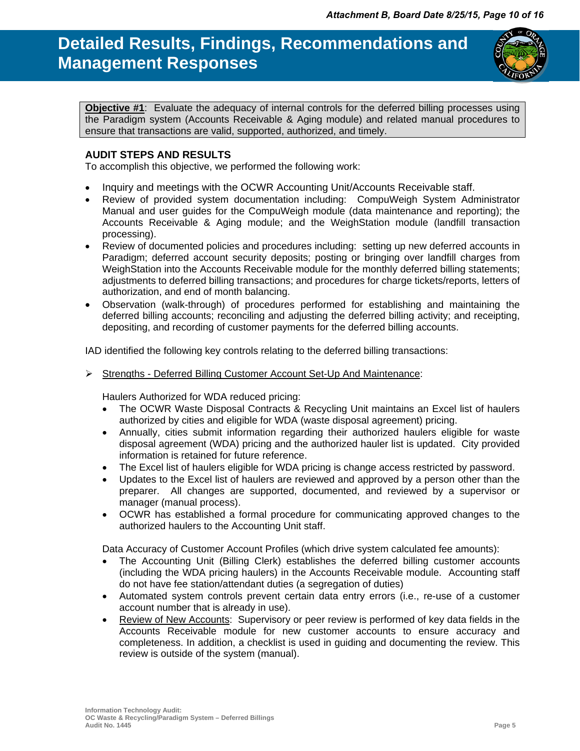**Objective #1**:Evaluate the adequacy of internal controls for the deferred billing processes using the Paradigm system (Accounts Receivable & Aging module) and related manual procedures to ensure that transactions are valid, supported, authorized, and timely.

#### **AUDIT STEPS AND RESULTS**

To accomplish this objective, we performed the following work:

- Inquiry and meetings with the OCWR Accounting Unit/Accounts Receivable staff.
- Review of provided system documentation including: CompuWeigh System Administrator Manual and user guides for the CompuWeigh module (data maintenance and reporting); the Accounts Receivable & Aging module; and the WeighStation module (landfill transaction processing).
- Review of documented policies and procedures including: setting up new deferred accounts in Paradigm; deferred account security deposits; posting or bringing over landfill charges from WeighStation into the Accounts Receivable module for the monthly deferred billing statements; adjustments to deferred billing transactions; and procedures for charge tickets/reports, letters of authorization, and end of month balancing.
- Observation (walk-through) of procedures performed for establishing and maintaining the deferred billing accounts; reconciling and adjusting the deferred billing activity; and receipting, depositing, and recording of customer payments for the deferred billing accounts.

IAD identified the following key controls relating to the deferred billing transactions:

 $\triangleright$  Strengths - Deferred Billing Customer Account Set-Up And Maintenance:

Haulers Authorized for WDA reduced pricing:

- The OCWR Waste Disposal Contracts & Recycling Unit maintains an Excel list of haulers authorized by cities and eligible for WDA (waste disposal agreement) pricing.
- Annually, cities submit information regarding their authorized haulers eligible for waste disposal agreement (WDA) pricing and the authorized hauler list is updated. City provided information is retained for future reference.
- The Excel list of haulers eligible for WDA pricing is change access restricted by password.
- Updates to the Excel list of haulers are reviewed and approved by a person other than the preparer. All changes are supported, documented, and reviewed by a supervisor or manager (manual process).
- OCWR has established a formal procedure for communicating approved changes to the authorized haulers to the Accounting Unit staff.

Data Accuracy of Customer Account Profiles (which drive system calculated fee amounts):

- The Accounting Unit (Billing Clerk) establishes the deferred billing customer accounts (including the WDA pricing haulers) in the Accounts Receivable module. Accounting staff do not have fee station/attendant duties (a segregation of duties)
- Automated system controls prevent certain data entry errors (i.e., re-use of a customer account number that is already in use).
- Review of New Accounts: Supervisory or peer review is performed of key data fields in the Accounts Receivable module for new customer accounts to ensure accuracy and completeness. In addition, a checklist is used in guiding and documenting the review. This review is outside of the system (manual).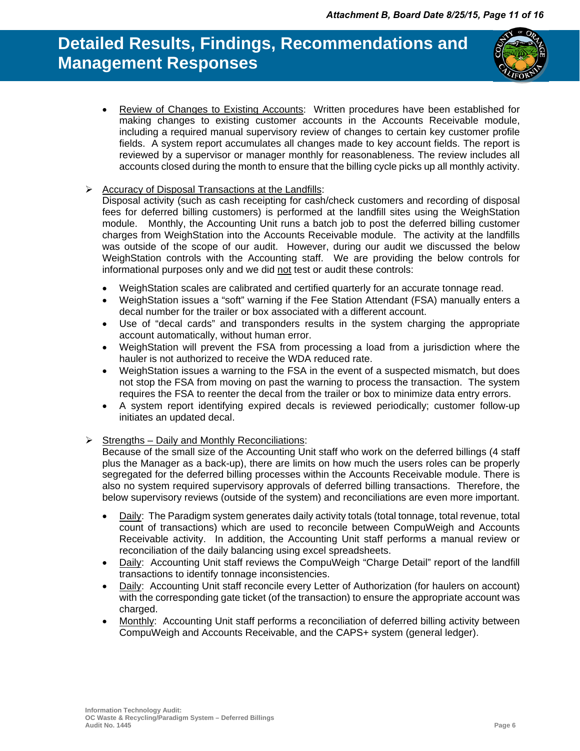

• Review of Changes to Existing Accounts: Written procedures have been established for making changes to existing customer accounts in the Accounts Receivable module, including a required manual supervisory review of changes to certain key customer profile fields. A system report accumulates all changes made to key account fields. The report is reviewed by a supervisor or manager monthly for reasonableness. The review includes all accounts closed during the month to ensure that the billing cycle picks up all monthly activity.

#### $\triangleright$  Accuracy of Disposal Transactions at the Landfills:

Disposal activity (such as cash receipting for cash/check customers and recording of disposal fees for deferred billing customers) is performed at the landfill sites using the WeighStation module. Monthly, the Accounting Unit runs a batch job to post the deferred billing customer charges from WeighStation into the Accounts Receivable module. The activity at the landfills was outside of the scope of our audit. However, during our audit we discussed the below WeighStation controls with the Accounting staff. We are providing the below controls for informational purposes only and we did not test or audit these controls:

- WeighStation scales are calibrated and certified quarterly for an accurate tonnage read.
- WeighStation issues a "soft" warning if the Fee Station Attendant (FSA) manually enters a decal number for the trailer or box associated with a different account.
- Use of "decal cards" and transponders results in the system charging the appropriate account automatically, without human error.
- WeighStation will prevent the FSA from processing a load from a jurisdiction where the hauler is not authorized to receive the WDA reduced rate.
- WeighStation issues a warning to the FSA in the event of a suspected mismatch, but does not stop the FSA from moving on past the warning to process the transaction. The system requires the FSA to reenter the decal from the trailer or box to minimize data entry errors.
- A system report identifying expired decals is reviewed periodically; customer follow-up initiates an updated decal.

#### $\triangleright$  Strengths – Daily and Monthly Reconciliations:

Because of the small size of the Accounting Unit staff who work on the deferred billings (4 staff plus the Manager as a back-up), there are limits on how much the users roles can be properly segregated for the deferred billing processes within the Accounts Receivable module. There is also no system required supervisory approvals of deferred billing transactions. Therefore, the below supervisory reviews (outside of the system) and reconciliations are even more important.

- Daily: The Paradigm system generates daily activity totals (total tonnage, total revenue, total count of transactions) which are used to reconcile between CompuWeigh and Accounts Receivable activity. In addition, the Accounting Unit staff performs a manual review or reconciliation of the daily balancing using excel spreadsheets.
- Daily: Accounting Unit staff reviews the CompuWeigh "Charge Detail" report of the landfill transactions to identify tonnage inconsistencies.
- Daily: Accounting Unit staff reconcile every Letter of Authorization (for haulers on account) with the corresponding gate ticket (of the transaction) to ensure the appropriate account was charged.
- Monthly: Accounting Unit staff performs a reconciliation of deferred billing activity between CompuWeigh and Accounts Receivable, and the CAPS+ system (general ledger).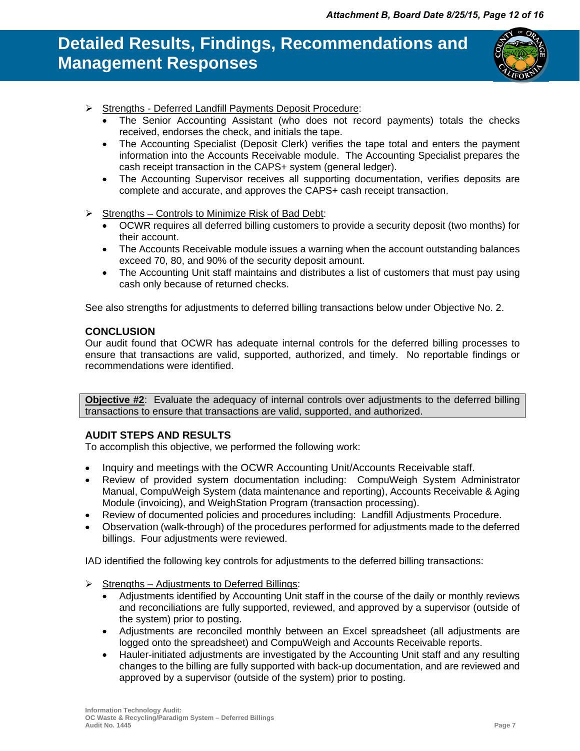

- Strengths Deferred Landfill Payments Deposit Procedure:
	- The Senior Accounting Assistant (who does not record payments) totals the checks received, endorses the check, and initials the tape.
	- The Accounting Specialist (Deposit Clerk) verifies the tape total and enters the payment information into the Accounts Receivable module. The Accounting Specialist prepares the cash receipt transaction in the CAPS+ system (general ledger).
	- The Accounting Supervisor receives all supporting documentation, verifies deposits are complete and accurate, and approves the CAPS+ cash receipt transaction.
- $\triangleright$  Strengths Controls to Minimize Risk of Bad Debt:
	- OCWR requires all deferred billing customers to provide a security deposit (two months) for their account.
	- The Accounts Receivable module issues a warning when the account outstanding balances exceed 70, 80, and 90% of the security deposit amount.
	- The Accounting Unit staff maintains and distributes a list of customers that must pay using cash only because of returned checks.

See also strengths for adjustments to deferred billing transactions below under Objective No. 2.

#### **CONCLUSION**

Our audit found that OCWR has adequate internal controls for the deferred billing processes to ensure that transactions are valid, supported, authorized, and timely. No reportable findings or recommendations were identified.

**Objective #2:** Evaluate the adequacy of internal controls over adjustments to the deferred billing transactions to ensure that transactions are valid, supported, and authorized.

### **AUDIT STEPS AND RESULTS**

To accomplish this objective, we performed the following work:

- Inquiry and meetings with the OCWR Accounting Unit/Accounts Receivable staff.
- Review of provided system documentation including: CompuWeigh System Administrator Manual, CompuWeigh System (data maintenance and reporting), Accounts Receivable & Aging Module (invoicing), and WeighStation Program (transaction processing).
- Review of documented policies and procedures including: Landfill Adjustments Procedure.
- Observation (walk-through) of the procedures performed for adjustments made to the deferred billings. Four adjustments were reviewed.

IAD identified the following key controls for adjustments to the deferred billing transactions:

- $\triangleright$  Strengths Adjustments to Deferred Billings:
	- Adjustments identified by Accounting Unit staff in the course of the daily or monthly reviews and reconciliations are fully supported, reviewed, and approved by a supervisor (outside of the system) prior to posting.
	- Adjustments are reconciled monthly between an Excel spreadsheet (all adjustments are logged onto the spreadsheet) and CompuWeigh and Accounts Receivable reports.
	- Hauler-initiated adjustments are investigated by the Accounting Unit staff and any resulting changes to the billing are fully supported with back-up documentation, and are reviewed and approved by a supervisor (outside of the system) prior to posting.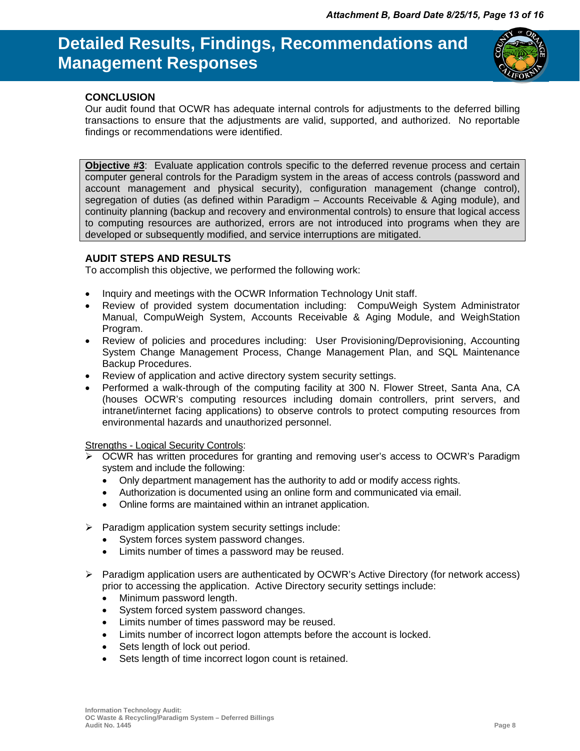

#### **CONCLUSION**

Our audit found that OCWR has adequate internal controls for adjustments to the deferred billing transactions to ensure that the adjustments are valid, supported, and authorized. No reportable findings or recommendations were identified.

**Objective #3:** Evaluate application controls specific to the deferred revenue process and certain computer general controls for the Paradigm system in the areas of access controls (password and account management and physical security), configuration management (change control), segregation of duties (as defined within Paradigm – Accounts Receivable & Aging module), and continuity planning (backup and recovery and environmental controls) to ensure that logical access to computing resources are authorized, errors are not introduced into programs when they are developed or subsequently modified, and service interruptions are mitigated.

#### **AUDIT STEPS AND RESULTS**

To accomplish this objective, we performed the following work:

- Inquiry and meetings with the OCWR Information Technology Unit staff.
- Review of provided system documentation including: CompuWeigh System Administrator Manual, CompuWeigh System, Accounts Receivable & Aging Module, and WeighStation Program.
- Review of policies and procedures including: User Provisioning/Deprovisioning, Accounting System Change Management Process, Change Management Plan, and SQL Maintenance Backup Procedures.
- Review of application and active directory system security settings.
- Performed a walk-through of the computing facility at 300 N. Flower Street, Santa Ana, CA (houses OCWR's computing resources including domain controllers, print servers, and intranet/internet facing applications) to observe controls to protect computing resources from environmental hazards and unauthorized personnel.

Strengths - Logical Security Controls:

- OCWR has written procedures for granting and removing user's access to OCWR's Paradigm system and include the following:
	- Only department management has the authority to add or modify access rights.
	- Authorization is documented using an online form and communicated via email.
	- Online forms are maintained within an intranet application.
- $\triangleright$  Paradigm application system security settings include:
	- System forces system password changes.
	- Limits number of times a password may be reused.
- $\triangleright$  Paradigm application users are authenticated by OCWR's Active Directory (for network access) prior to accessing the application. Active Directory security settings include:
	- Minimum password length.
	- System forced system password changes.
	- Limits number of times password may be reused.
	- Limits number of incorrect logon attempts before the account is locked.
	- Sets length of lock out period.
	- Sets length of time incorrect logon count is retained.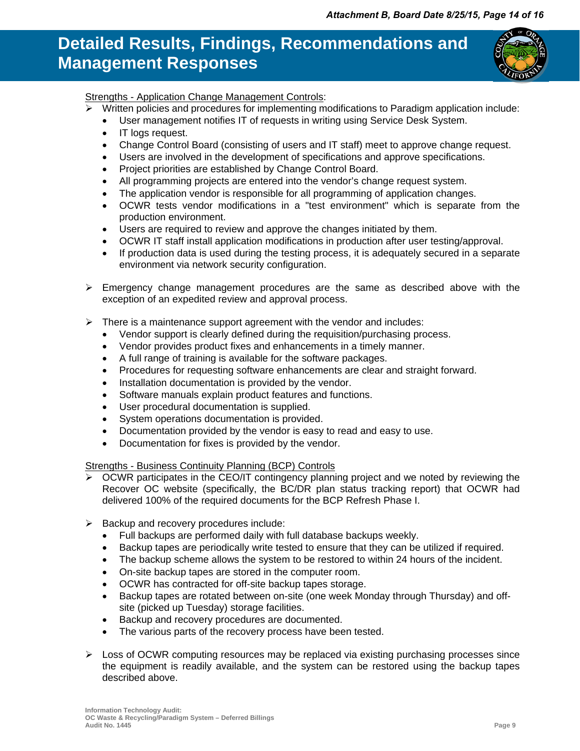

### Strengths - Application Change Management Controls:

- Written policies and procedures for implementing modifications to Paradigm application include:
	- User management notifies IT of requests in writing using Service Desk System.
	- IT logs request.
	- Change Control Board (consisting of users and IT staff) meet to approve change request.
	- Users are involved in the development of specifications and approve specifications.
	- Project priorities are established by Change Control Board.
	- All programming projects are entered into the vendor's change request system.
	- The application vendor is responsible for all programming of application changes.
	- OCWR tests vendor modifications in a "test environment" which is separate from the production environment.
	- Users are required to review and approve the changes initiated by them.
	- OCWR IT staff install application modifications in production after user testing/approval.
	- If production data is used during the testing process, it is adequately secured in a separate environment via network security configuration.
- $\triangleright$  Emergency change management procedures are the same as described above with the exception of an expedited review and approval process.
- $\triangleright$  There is a maintenance support agreement with the vendor and includes:
	- Vendor support is clearly defined during the requisition/purchasing process.
	- Vendor provides product fixes and enhancements in a timely manner.
	- A full range of training is available for the software packages.
	- Procedures for requesting software enhancements are clear and straight forward.
	- Installation documentation is provided by the vendor.
	- Software manuals explain product features and functions.
	- User procedural documentation is supplied.
	- System operations documentation is provided.
	- Documentation provided by the vendor is easy to read and easy to use.
	- Documentation for fixes is provided by the vendor.

Strengths - Business Continuity Planning (BCP) Controls

- OCWR participates in the CEO/IT contingency planning project and we noted by reviewing the Recover OC website (specifically, the BC/DR plan status tracking report) that OCWR had delivered 100% of the required documents for the BCP Refresh Phase I.
- $\triangleright$  Backup and recovery procedures include:
	- Full backups are performed daily with full database backups weekly.
	- Backup tapes are periodically write tested to ensure that they can be utilized if required.
	- The backup scheme allows the system to be restored to within 24 hours of the incident.
	- On-site backup tapes are stored in the computer room.
	- OCWR has contracted for off-site backup tapes storage.
	- Backup tapes are rotated between on-site (one week Monday through Thursday) and offsite (picked up Tuesday) storage facilities.
	- Backup and recovery procedures are documented.
	- The various parts of the recovery process have been tested.
- $\triangleright$  Loss of OCWR computing resources may be replaced via existing purchasing processes since the equipment is readily available, and the system can be restored using the backup tapes described above.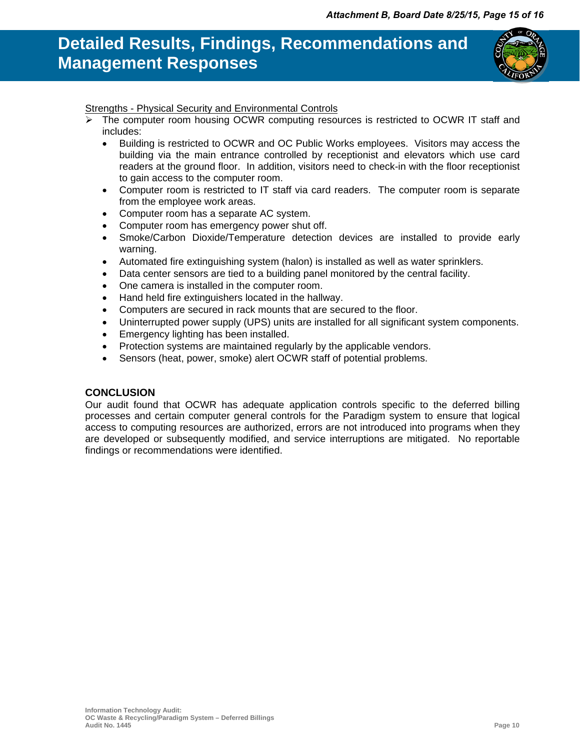

### Strengths - Physical Security and Environmental Controls

- The computer room housing OCWR computing resources is restricted to OCWR IT staff and includes:
	- Building is restricted to OCWR and OC Public Works employees. Visitors may access the building via the main entrance controlled by receptionist and elevators which use card readers at the ground floor. In addition, visitors need to check-in with the floor receptionist to gain access to the computer room.
	- Computer room is restricted to IT staff via card readers. The computer room is separate from the employee work areas.
	- Computer room has a separate AC system.
	- Computer room has emergency power shut off.
	- Smoke/Carbon Dioxide/Temperature detection devices are installed to provide early warning.
	- Automated fire extinguishing system (halon) is installed as well as water sprinklers.
	- Data center sensors are tied to a building panel monitored by the central facility.
	- One camera is installed in the computer room.
	- Hand held fire extinguishers located in the hallway.
	- Computers are secured in rack mounts that are secured to the floor.
	- Uninterrupted power supply (UPS) units are installed for all significant system components.
	- Emergency lighting has been installed.
	- Protection systems are maintained regularly by the applicable vendors.
	- Sensors (heat, power, smoke) alert OCWR staff of potential problems.

### **CONCLUSION**

Our audit found that OCWR has adequate application controls specific to the deferred billing processes and certain computer general controls for the Paradigm system to ensure that logical access to computing resources are authorized, errors are not introduced into programs when they are developed or subsequently modified, and service interruptions are mitigated. No reportable findings or recommendations were identified.